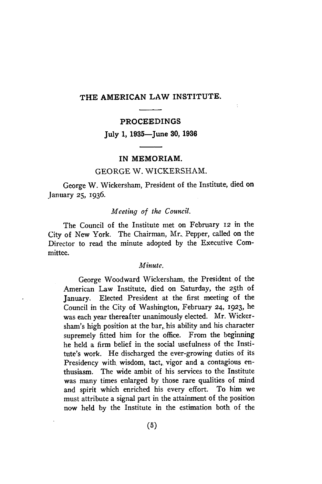# THE AMERICAN LAW INSTITUTE.

#### PROCEEDINGS

July **1,** 1935-June **30, 1936**

### IN MEMORIAM.

## GEORGE W. WICKERSHAM.

George W. Wickersham, President of the Institute, died on January **25,** 1936.

### *Meeting of the Council.*

The Council of the Institute met on February 12 in the City of New York. The Chairman, Mr., Pepper, called on the Director to read the minute adopted **by** the Executive Committee.

### *Minute.*

George Woodward Wickersham, the President of the American Law Institute, died on Saturday, the 25th of January. Elected President at the first meeting of the Council in the City of Washington, February **24, 1923,** he was each year thereafter unanimously elected. Mr. Wickersham's high position at the bar, his ability and his character supremely fitted him for the office. From the beginning he held a firm belief in the social usefulness of the Institute's work. He discharged the ever-growing duties of its Presidency with wisdom, tact, vigor and a contagious enthusiasm. The wide ambit of his services to the Institute was many times enlarged **by** those rare qualities of mind and spirit which enriched his every effort. To him we must attribute a signal part in the attainment of the position now held **by** the Institute in the estimation both of the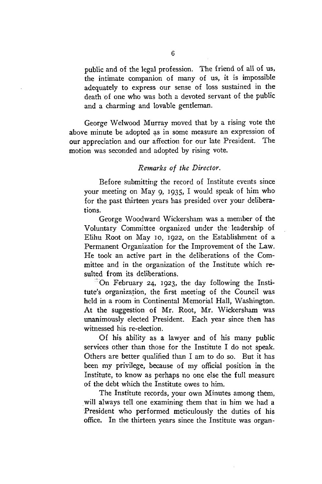public and of the legal profession. The friend of all of us, the intimate companion of many of us, it is impossible adequately to express our sense of loss sustained in the death of one who was both a devoted servant of the public and a charming and lovable gentleman.

George Welwood Murray moved that **by** a rising vote the above minute be adopted as in some measure an expression of our appreciation and our affection for our late President. The motion was seconded and adopted by rising vote.

### *Remarks of the Director.*

Before submitting the record of Institute events since your meeting on May 9, **1935,** I would speak of him who for the past thirteen years has presided over your deliberations.

George Woodward Wickersham was a member of the Voluntary Committee organized under the leadership of Elihu Root on May **10,** *1922,* on the Establishment of a Permanent Organization for the Improvement of the Law. He took an active part in the deliberations of the Committee and in the organization of the Institute which resulted from its deliberations.

'On February 24, **1923,** the day following the Institute's organization, the first meeting of the Council was held in a room in Continental Memorial Hall, Washington. At the suggestion of Mr. Root, Mr. Wickersham was unanimously elected President. Each year since then has witnessed his re-election.

Of his ability as a lawyer and of his many public services other than those for the Institute I do not speak. Others are better qualified than I am to do so. But it has been my privilege, because of my official position in the Institute, to know as perhaps no one else the full measure of the debt which the Institute owes to him.

The Institute records, your own Minutes among them, will always tell one examining them that in him we had a President who performed meticulously the duties of his office. In the thirteen years since the Institute was organ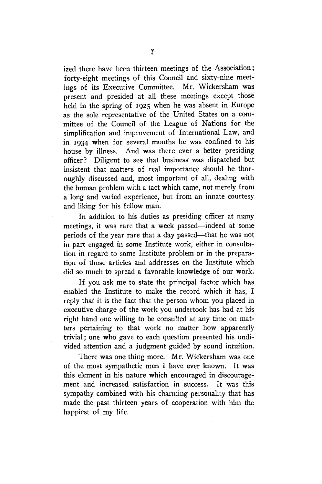ized there have been thirteen meetings of the Association; forty-eight meetings of this Council and sixty-nine meetings of its Executive Committee. Mr. Wickersham was present and presided at all these meetings except those held in the spring of 1925 when he was absent in Europe as the sole representative of the United States on a committee of the Council of the League of Nations for the simplification and improvement of International Law, and in 1934 when for several months he was confined to his house by illness. And was there ever a better presiding officer? Diligent to see that business was dispatched but insistent that matters of real importance should be thoroughly discussed and, most important of all, dealing with the human problem with a tact which came, not merely from a long and varied experience, but from an innate courtesy and liking for his fellow man.

In addition to his duties as presiding officer at many meetings, it was rare that a week passed—indeed at some periods of the year rare that a day passed—that he was not in part engaged in some Institute work, either in consultation in regard to some Institute problem or in the preparation of those articles and addresses on the Institute which did so much to spread a favorable knowledge of our work.

If you ask me to state the principal factor which has enabled the Institute to make the record which it has, I reply that it is the fact that the person whom you placed in executive charge of the work you undertook has had at his right hand one willing to be consulted at any time on matters pertaining to that work no matter how apparently trivial; one who gave to each question presented his undivided attention and a judgment guided by sound intuition.

There was one thing more. Mr. Wickersham was one of the most sympathetic men I have ever known. It was this element in his nature which encouraged in discouragement and increased satisfaction in success. It was this sympathy combined with his charming personality that has made the past thirteen years of cooperation with him the happiest of my life.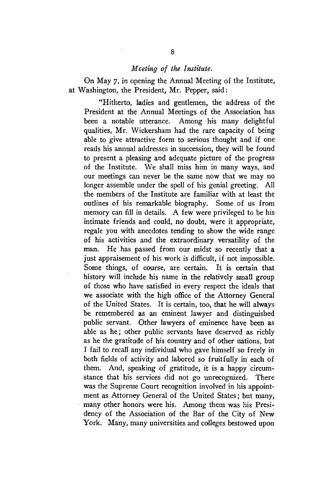## *Meeting of the Institute.*

On May 7, in opening the Annual Meeting of the Institute, at Washington, the President, Mr. Pepper, said:

"Hitherto, ladies and gentlemen, the address of the President at the Annual Meetings of the Association has been a notable utterance. Among his many delightful qualities, Mr. Wickersham had the rare capacity of being able to give attractive form to serious thought and if one reads his annual addresses in succession, they will be found to present a pleasing and adequate picture of the progress of the Institute. We shall miss him in many ways, and our meetings can never be the same now that we may no longer assemble under the spell of his genial greeting. All the members of the Institute are familiar with at least the outlines of his remarkable biography. Some of us from memory can fill in details. A few were privileged to be his intimate friends and could, no doubt, were it appropriate, regale you with anecdotes tending to show the wide range of his activities and the extraordinary versatility of the man. He has passed from our midst so recently that a just appraisement of his work is difficult, if not impossible. Some things, of course, are certain. It is certain that history will include his name in the relatively small group of those who have satisfied in every respect the ideals that we associate with the high office of the Attorney General of the United States. It is certain, too, that he will always be remembered as an eminent lawyer and distinguished public servant. Other lawyers of eminence have been as able as he; other public servants have deserved as richly as he the gratitude of his country and of other nations, but I fail to recall any individual who gave himself so freely in both fields of activity and labored so fruitfully in each of them. And, speaking of gratitude, it is a happy circumstance that his services did not go unrecognized. There was the Supreme Court recognition involved in his appointment as Attorney General of the United States; but many, many other honors were his. Among them was his Presidency of the Association of the Bar of the City of New York. Many, many universities and colleges bestowed upon